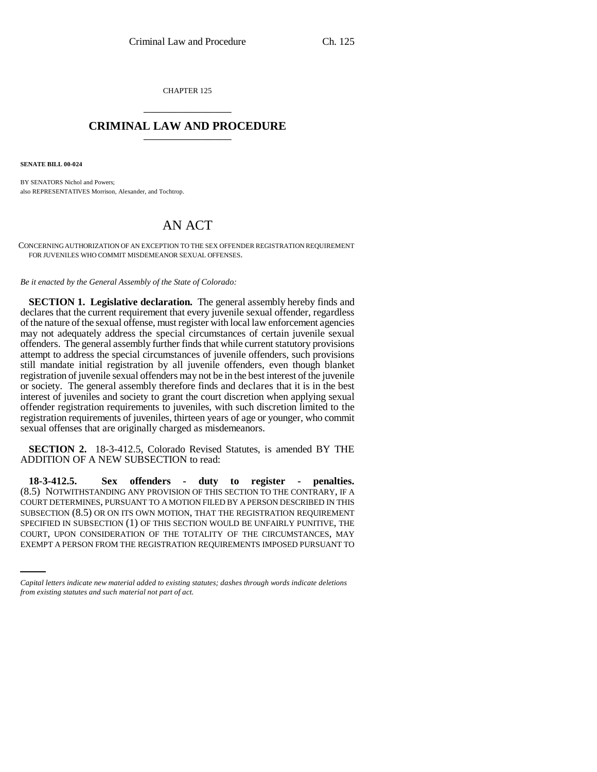CHAPTER 125 \_\_\_\_\_\_\_\_\_\_\_\_\_\_\_

## **CRIMINAL LAW AND PROCEDURE** \_\_\_\_\_\_\_\_\_\_\_\_\_\_\_

**SENATE BILL 00-024** 

BY SENATORS Nichol and Powers; also REPRESENTATIVES Morrison, Alexander, and Tochtrop.

## AN ACT

CONCERNING AUTHORIZATION OF AN EXCEPTION TO THE SEX OFFENDER REGISTRATION REQUIREMENT FOR JUVENILES WHO COMMIT MISDEMEANOR SEXUAL OFFENSES.

*Be it enacted by the General Assembly of the State of Colorado:*

**SECTION 1. Legislative declaration.** The general assembly hereby finds and declares that the current requirement that every juvenile sexual offender, regardless of the nature of the sexual offense, must register with local law enforcement agencies may not adequately address the special circumstances of certain juvenile sexual offenders. The general assembly further finds that while current statutory provisions attempt to address the special circumstances of juvenile offenders, such provisions still mandate initial registration by all juvenile offenders, even though blanket registration of juvenile sexual offenders may not be in the best interest of the juvenile or society. The general assembly therefore finds and declares that it is in the best interest of juveniles and society to grant the court discretion when applying sexual offender registration requirements to juveniles, with such discretion limited to the registration requirements of juveniles, thirteen years of age or younger, who commit sexual offenses that are originally charged as misdemeanors.

**SECTION 2.** 18-3-412.5, Colorado Revised Statutes, is amended BY THE ADDITION OF A NEW SUBSECTION to read:

SPECIFIED IN SUBSECTION (1) OF THIS SECTION WOULD BE UNFAIRLY PUNITIVE, THE **18-3-412.5. Sex offenders - duty to register - penalties.** (8.5) NOTWITHSTANDING ANY PROVISION OF THIS SECTION TO THE CONTRARY, IF A COURT DETERMINES, PURSUANT TO A MOTION FILED BY A PERSON DESCRIBED IN THIS SUBSECTION (8.5) OR ON ITS OWN MOTION, THAT THE REGISTRATION REQUIREMENT COURT, UPON CONSIDERATION OF THE TOTALITY OF THE CIRCUMSTANCES, MAY EXEMPT A PERSON FROM THE REGISTRATION REQUIREMENTS IMPOSED PURSUANT TO

*Capital letters indicate new material added to existing statutes; dashes through words indicate deletions from existing statutes and such material not part of act.*